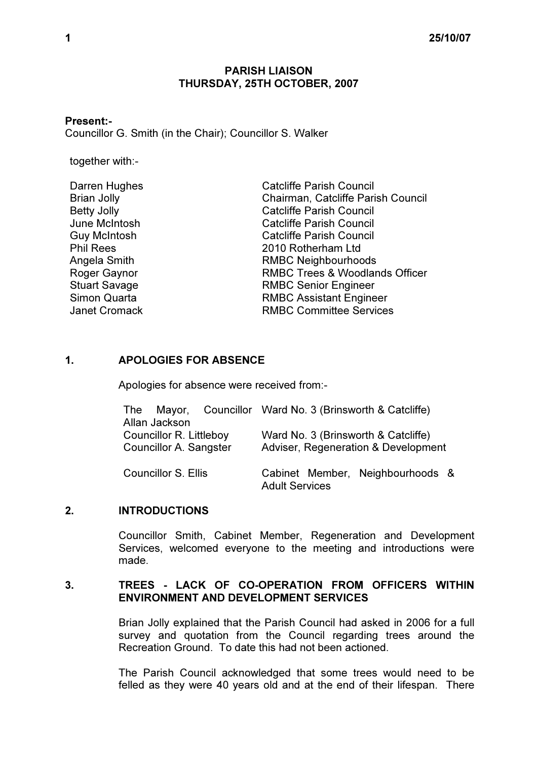### PARISH LIAISON THURSDAY, 25TH OCTOBER, 2007

## Present:-

Councillor G. Smith (in the Chair); Councillor S. Walker

together with:-

| <b>Catcliffe Parish Council</b>           |
|-------------------------------------------|
| Chairman, Catcliffe Parish Council        |
| <b>Catcliffe Parish Council</b>           |
| <b>Catcliffe Parish Council</b>           |
| <b>Catcliffe Parish Council</b>           |
| 2010 Rotherham Ltd                        |
| <b>RMBC Neighbourhoods</b>                |
| <b>RMBC Trees &amp; Woodlands Officer</b> |
| <b>RMBC Senior Engineer</b>               |
| <b>RMBC Assistant Engineer</b>            |
| <b>RMBC Committee Services</b>            |
|                                           |

## 1. APOLOGIES FOR ABSENCE

Apologies for absence were received from:-

|                            |               |  |                                     |  | The Mayor, Councillor Ward No. 3 (Brinsworth & Catcliffe) |  |
|----------------------------|---------------|--|-------------------------------------|--|-----------------------------------------------------------|--|
|                            | Allan Jackson |  |                                     |  |                                                           |  |
| Councillor R. Littleboy    |               |  | Ward No. 3 (Brinsworth & Catcliffe) |  |                                                           |  |
| Councillor A. Sangster     |               |  | Adviser, Regeneration & Development |  |                                                           |  |
| <b>Councillor S. Ellis</b> |               |  | <b>Adult Services</b>               |  | Cabinet Member, Neighbourhoods &                          |  |

# 2. INTRODUCTIONS

 Councillor Smith, Cabinet Member, Regeneration and Development Services, welcomed everyone to the meeting and introductions were made.

#### 3. TREES - LACK OF CO-OPERATION FROM OFFICERS WITHIN ENVIRONMENT AND DEVELOPMENT SERVICES

 Brian Jolly explained that the Parish Council had asked in 2006 for a full survey and quotation from the Council regarding trees around the Recreation Ground. To date this had not been actioned.

The Parish Council acknowledged that some trees would need to be felled as they were 40 years old and at the end of their lifespan. There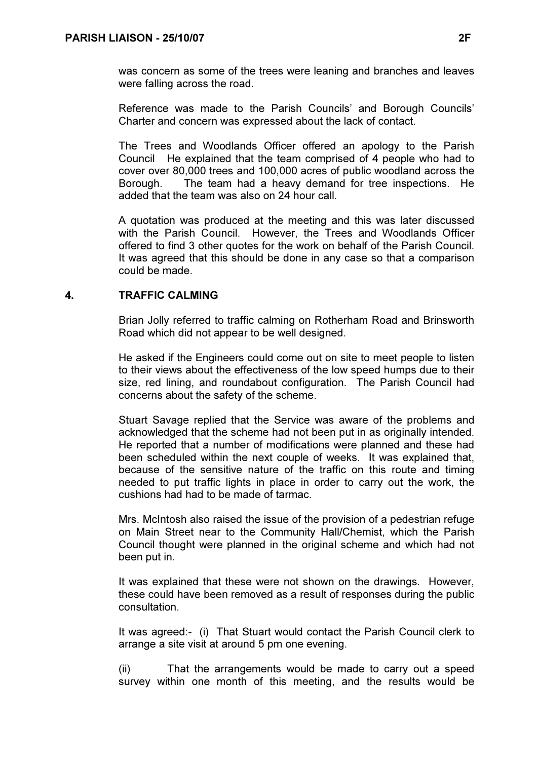was concern as some of the trees were leaning and branches and leaves were falling across the road.

Reference was made to the Parish Councils' and Borough Councils' Charter and concern was expressed about the lack of contact.

The Trees and Woodlands Officer offered an apology to the Parish Council He explained that the team comprised of 4 people who had to cover over 80,000 trees and 100,000 acres of public woodland across the Borough. The team had a heavy demand for tree inspections. He added that the team was also on 24 hour call.

A quotation was produced at the meeting and this was later discussed with the Parish Council. However, the Trees and Woodlands Officer offered to find 3 other quotes for the work on behalf of the Parish Council. It was agreed that this should be done in any case so that a comparison could be made.

# 4. TRAFFIC CALMING

 Brian Jolly referred to traffic calming on Rotherham Road and Brinsworth Road which did not appear to be well designed.

He asked if the Engineers could come out on site to meet people to listen to their views about the effectiveness of the low speed humps due to their size, red lining, and roundabout configuration. The Parish Council had concerns about the safety of the scheme.

Stuart Savage replied that the Service was aware of the problems and acknowledged that the scheme had not been put in as originally intended. He reported that a number of modifications were planned and these had been scheduled within the next couple of weeks. It was explained that, because of the sensitive nature of the traffic on this route and timing needed to put traffic lights in place in order to carry out the work, the cushions had had to be made of tarmac.

Mrs. McIntosh also raised the issue of the provision of a pedestrian refuge on Main Street near to the Community Hall/Chemist, which the Parish Council thought were planned in the original scheme and which had not been put in.

It was explained that these were not shown on the drawings. However, these could have been removed as a result of responses during the public consultation.

It was agreed:- (i) That Stuart would contact the Parish Council clerk to arrange a site visit at around 5 pm one evening.

(ii) That the arrangements would be made to carry out a speed survey within one month of this meeting, and the results would be